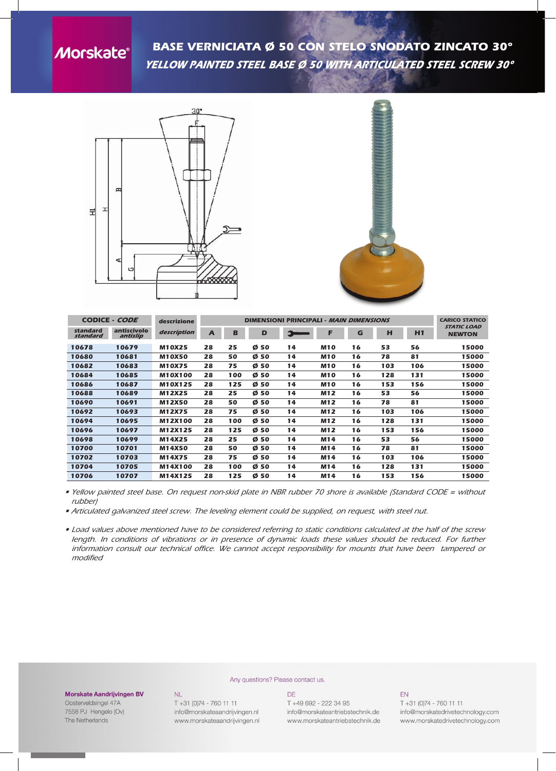**Morskate®** 

*BASE VERNICIATA Ø 50 CON STELO SNODATO ZINCATO 30° yellow painted steel base ø 50 with articulated steel screw 30°*





|                      | <b>CODICE - CODE</b>    | descrizione    | <b>DIMENSIONI PRINCIPALI - MAIN DIMENSIONS</b> |     |         |    |            |    |     |     | <b>CARICO STATICO</b>               |
|----------------------|-------------------------|----------------|------------------------------------------------|-----|---------|----|------------|----|-----|-----|-------------------------------------|
| standard<br>standard | antiscivolo<br>antislip | description    | A                                              | B   | D       |    | F          | G  | н   | H1  | <b>STATIC LOAD</b><br><b>NEWTON</b> |
| 10678                | 10679                   | <b>M10X25</b>  | 28                                             | 25  | 50<br>ø | 14 | <b>M10</b> | 16 | 53  | 56  | 15000                               |
| 10680                | 10681                   | <b>M10X50</b>  | 28                                             | 50  | Ø 50    | 14 | <b>M10</b> | 16 | 78  | 81  | 15000                               |
| 10682                | 10683                   | <b>M10X75</b>  | 28                                             | 75  | Ø 50    | 14 | <b>M10</b> | 16 | 103 | 106 | 15000                               |
| 10684                | 10685                   | <b>M10X100</b> | 28                                             | 100 | Ø50     | 14 | <b>M10</b> | 16 | 128 | 131 | 15000                               |
| 10686                | 10687                   | M10X125        | 28                                             | 125 | Ø 50    | 14 | <b>M10</b> | 16 | 153 | 156 | 15000                               |
| 10688                | 10689                   | M12X25         | 28                                             | 25  | Ø50     | 14 | M12        | 16 | 53  | 56  | 15000                               |
| 10690                | 10691                   | <b>M12X50</b>  | 28                                             | 50  | Ø 50    | 14 | M12        | 16 | 78  | 81  | 15000                               |
| 10692                | 10693                   | M12X75         | 28                                             | 75  | Ø 50    | 14 | M12        | 16 | 103 | 106 | 15000                               |
| 10694                | 10695                   | M12X100        | 28                                             | 100 | Ø50     | 14 | M12        | 16 | 128 | 131 | 15000                               |
| 10696                | 10697                   | M12X125        | 28                                             | 125 | Ø50     | 14 | M12        | 16 | 153 | 156 | 15000                               |
| 10698                | 10699                   | M14X25         | 28                                             | 25  | Ø 50    | 14 | M14        | 16 | 53  | 56  | 15000                               |
| 10700                | 10701                   | M14X50         | 28                                             | 50  | Ø 50    | 14 | M14        | 16 | 78  | 81  | 15000                               |
| 10702                | 10703                   | M14X75         | 28                                             | 75  | Ø 50    | 14 | M14        | 16 | 103 | 106 | 15000                               |
| 10704                | 10705                   | M14X100        | 28                                             | 100 | Ø<br>50 | 14 | M14        | 16 | 128 | 131 | 15000                               |
| 10706                | 10707                   | M14X125        | 28                                             | 125 | Ø<br>50 | 14 | M14        | 16 | 153 | 156 | 15000                               |

• Yellow painted steel base. On request non-skid plate in NBR rubber 70 shore is available (Standard CODE = without *rubber)*

*• Articulated galvanized steel screw. The leveling element could be supplied, on request, with steel nut.*

. Load values above mentioned have to be considered referring to static conditions calculated at the half of the screw length. In conditions of vibrations or in presence of dynamic loads these values should be reduced. For further *information consult our technical office. We cannot accept responsibility for mounts that have been tampered or modified*

## **Morskate Aandrijvingen BV**

Oosterveldsingel 47A 7558 PJ Hengelo (Ov) The Netherlands

## Any questions? Please contact us.

T +31 (0)74 - 760 11 11 info@morskateaandrijvingen.nl www.morskateaandrijvingen.nl

**NL** 

## DF T +49 692 - 222 34 95 info@morskateantriebstechnik.de www.morskateantriebstechnik.de

EN

T +31 (0)74 - 760 11 11 info@morskatedrivetechnology.com www.morskatedrivetechnology.com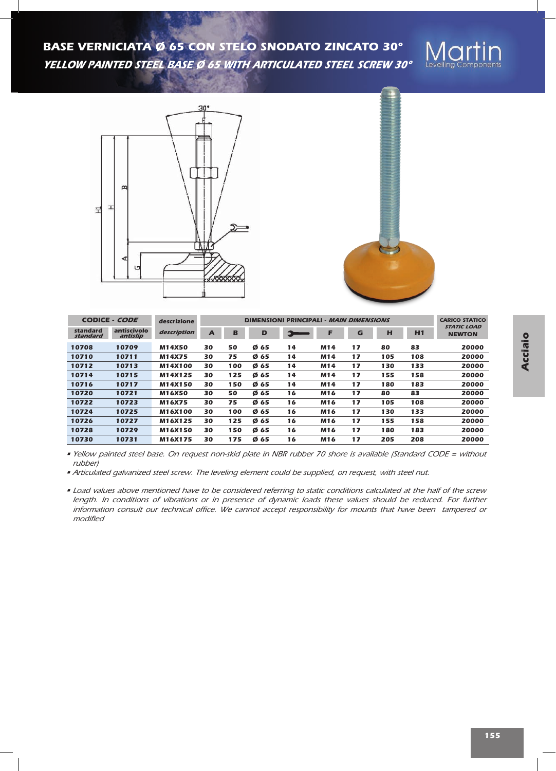*BASE VERNICIATA Ø 65 CON STELO SNODATO ZINCATO 30° yellow painted steel base ø 65 with articulated steel screw 30°*







| <b>CODICE - CODE</b><br>descrizione |                         |               |    |     | <b>CARICO STATICO</b> |               |            |    |     |     |                                     |
|-------------------------------------|-------------------------|---------------|----|-----|-----------------------|---------------|------------|----|-----|-----|-------------------------------------|
| standard<br>standard                | antiscivolo<br>antislip | description   | A  | В   | D                     | $\rightarrow$ | Е          | G  | н   | H1  | <b>STATIC LOAD</b><br><b>NEWTON</b> |
| 10708                               | 10709                   | M14X50        | 30 | 50  | Ø65                   | 14            | M14        | 17 | 80  | 83  | 20000                               |
| 10710                               | 10711                   | M14X75        | 30 | 75  | Ø 65                  | 14            | M14        | 17 | 105 | 108 | 20000                               |
| 10712                               | 10713                   | M14X100       | 30 | 100 | Ø65                   | 14            | M14        | 17 | 130 | 133 | 20000                               |
| 10714                               | 10715                   | M14X125       | 30 | 125 | Ø65                   | 14            | M14        | 17 | 155 | 158 | 20000                               |
| 10716                               | 10717                   | M14X150       | 30 | 150 | Ø65                   | 14            | M14        | 17 | 180 | 183 | 20000                               |
| 10720                               | 10721                   | M16X50        | 30 | 50  | Ø65                   | 16            | M16        | 17 | 80  | 83  | 20000                               |
| 10722                               | 10723                   | <b>M16X75</b> | 30 | 75  | Ø 65                  | 16            | M16        | 17 | 105 | 108 | 20000                               |
| 10724                               | 10725                   | M16X100       | 30 | 100 | Ø65                   | 16            | M16        | 17 | 130 | 133 | 20000                               |
| 10726                               | 10727                   | M16X125       | 30 | 125 | Ø 65                  | 16            | M16        | 17 | 155 | 158 | 20000                               |
| 10728                               | 10729                   | M16X150       | 30 | 150 | Ø65                   | 16            | M16        | 17 | 180 | 183 | 20000                               |
| 10730                               | 10731                   | M16X175       | 30 | 175 | Ø 65                  | 16            | <b>M16</b> | 17 | 205 | 208 | 20000                               |

· Yellow painted steel base. On request non-skid plate in NBR rubber 70 shore is available (Standard CODE = without *rubber)*

*• Articulated galvanized steel screw. The leveling element could be supplied, on request, with steel nut.*

• Load values above mentioned have to be considered referring to static conditions calculated at the half of the screw length. In conditions of vibrations or in presence of dynamic loads these values should be reduced. For further *information consult our technical office. We cannot accept responsibility for mounts that have been tampered or modified*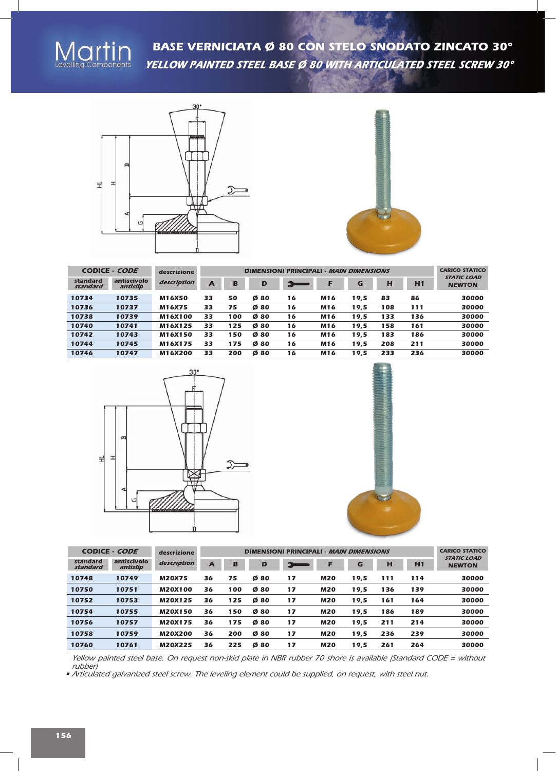

*BASE VERNICIATA Ø 80 CON STELO SNODATO ZINCATO 30° yellow painted steel base ø 80 with articulated steel screw 30°*





| <b>CODICE - CODE</b> |                         | descrizione   |    | <b>CARICO STATICO</b> |                             |                        |     |      |     |     |                                     |
|----------------------|-------------------------|---------------|----|-----------------------|-----------------------------|------------------------|-----|------|-----|-----|-------------------------------------|
| standard<br>standard | antiscivolo<br>antislip | description   | A  | в                     | D                           | Э<br><b>STATISTICS</b> | F   | G    | н   | H1  | <b>STATIC LOAD</b><br><b>NEWTON</b> |
| 10734                | 10735                   | <b>M16X50</b> | 33 | 50                    | Ø80                         | 16                     | M16 | 19,5 | 83  | 86  | 30000                               |
| 10736                | 10737                   | M16X75        | 33 | 75                    | Ø80                         | 16                     | M16 | 19.5 | 108 | 111 | 30000                               |
| 10738                | 10739                   | M16X100       | 33 | 100                   | $\boldsymbol{\emptyset}$ 80 | 16                     | M16 | 19,5 | 133 | 136 | 30000                               |
| 10740                | 10741                   | M16X125       | 33 | 125                   | Ø80                         | 16                     | M16 | 19,5 | 158 | 161 | 30000                               |
| 10742                | 10743                   | M16X150       | 33 | 150                   | Ø80                         | 16                     | M16 | 19.5 | 183 | 186 | 30000                               |
| 10744                | 10745                   | M16X175       | 33 | 175                   | 80<br>ø                     | 16                     | M16 | 19,5 | 208 | 211 | 30000                               |
| 10746                | 10747                   | M16X200       | 33 | 200                   | ø<br>80                     | 16                     | M16 | 19.5 | 233 | 236 | 30000                               |





| <b>CODICE - CODE</b> | descrizione             |                |    | <b>CARICO STATICO</b> |         |    |            |      |     |     |                                     |
|----------------------|-------------------------|----------------|----|-----------------------|---------|----|------------|------|-----|-----|-------------------------------------|
| standard<br>standard | antiscivolo<br>antislip | description    | A  | в                     | D       | ы  | F          | G    | н   | H1  | <b>STATIC LOAD</b><br><b>NEWTON</b> |
| 10748                | 10749                   | <b>M20X75</b>  | 36 | 75                    | Ø80     | 17 | <b>M20</b> | 19.5 | 111 | 114 | 30000                               |
| 10750                | 10751                   | <b>M20X100</b> | 36 | 100                   | Ø80     | 17 | <b>M20</b> | 19,5 | 136 | 139 | 30000                               |
| 10752                | 10753                   | <b>M20X125</b> | 36 | 125                   | Ø80     | 17 | <b>M20</b> | 19,5 | 161 | 164 | 30000                               |
| 10754                | 10755                   | <b>M20X150</b> | 36 | 150                   | Ø80     | 17 | <b>M20</b> | 19,5 | 186 | 189 | 30000                               |
| 10756                | 10757                   | <b>M20X175</b> | 36 | 175                   | Ø80     | 17 | <b>M20</b> | 19,5 | 211 | 214 | 30000                               |
| 10758                | 10759                   | <b>M20X200</b> | 36 | 200                   | Ø80     | 17 | <b>M20</b> | 19,5 | 236 | 239 | 30000                               |
| 10760                | 10761                   | <b>M20X225</b> | 36 | 225                   | Ø<br>80 | 17 | <b>M20</b> | 19.5 | 261 | 264 | 30000                               |

Yellow painted steel base. On request non-skid plate in NBR rubber 70 shore is available (Standard CODE = without *rubber)*

*• Articulated galvanized steel screw. The leveling element could be supplied, on request, with steel nut.*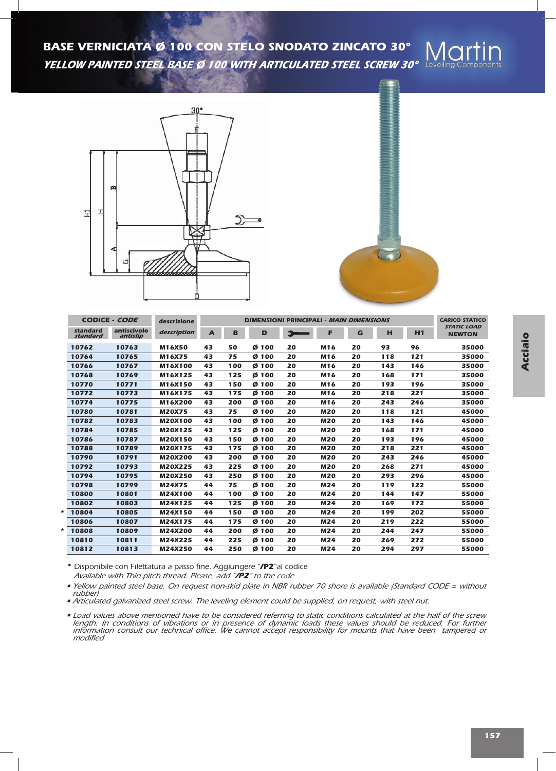*BASE VERNICIATA Ø 100 CON STELO SNODATO ZINCATO 30° yellow painted steel base ø 100 with articulated steel screw 30°*





| <b>CODICE - CODE</b> |                         | <b>DIMENSIONI PRINCIPALI - MAIN DIMENSIONS</b> |              | <b>CARICO STATICO</b> |                  |    |            |    |     |     |                                            |
|----------------------|-------------------------|------------------------------------------------|--------------|-----------------------|------------------|----|------------|----|-----|-----|--------------------------------------------|
| standard<br>standard | antiscivolo<br>antislip | description                                    | $\mathbf{A}$ | в                     | D                |    | F          | G  | н   | H1  | <i><b>STATIC LOAD</b></i><br><b>NEWTON</b> |
| 10762                | 10763                   | <b>M16X50</b>                                  | 43           | 50                    | Ø<br>100         | 20 | M16        | 20 | 93  | 96  | 35000                                      |
| 10764                | 10765                   | M16X75                                         | 43           | 75                    | Ø <sub>100</sub> | 20 | M16        | 20 | 118 | 121 | 35000                                      |
| 10766                | 10767                   | M16X100                                        | 43           | 100                   | Ø <sub>100</sub> | 20 | M16        | 20 | 143 | 146 | 35000                                      |
| 10768                | 10769                   | M16X125                                        | 43           | 125                   | Ø <sub>100</sub> | 20 | M16        | 20 | 168 | 171 | 35000                                      |
| 10770                | 10771                   | M16X150                                        | 43           | 150                   | Ø 100            | 20 | M16        | 20 | 193 | 196 | 35000                                      |
| 10772                | 10773                   | M16X175                                        | 43           | 175                   | Ø <sub>100</sub> | 20 | M16        | 20 | 218 | 221 | 35000                                      |
| 10774                | 10775                   | M16X200                                        | 43           | 200                   | Ø <sub>100</sub> | 20 | M16        | 20 | 243 | 246 | 35000                                      |
| 10780                | 10781                   | <b>M20X75</b>                                  | 43           | 75                    | Ø 100            | 20 | <b>M20</b> | 20 | 118 | 121 | 45000                                      |
| 10782                | 10783                   | <b>M20X100</b>                                 | 43           | 100                   | Ø <sub>100</sub> | 20 | <b>M20</b> | 20 | 143 | 146 | 45000                                      |
| 10784                | 10785                   | <b>M20X125</b>                                 | 43           | 125                   | Ø <sub>100</sub> | 20 | <b>M20</b> | 20 | 168 | 171 | 45000                                      |
| 10786                | 10787                   | <b>M20X150</b>                                 | 43           | 150                   | Ø <sub>100</sub> | 20 | <b>M20</b> | 20 | 193 | 196 | 45000                                      |
| 10788                | 10789                   | <b>M20X175</b>                                 | 43           | 175                   | Ø <sub>100</sub> | 20 | <b>M20</b> | 20 | 218 | 221 | 45000                                      |
| 10790                | 10791                   | <b>M20X200</b>                                 | 43           | 200                   | Ø <sub>100</sub> | 20 | <b>M20</b> | 20 | 243 | 246 | 45000                                      |
| 10792                | 10793                   | M20X225                                        | 43           | 225                   | Ø <sub>100</sub> | 20 | <b>M20</b> | 20 | 268 | 271 | 45000                                      |
| 10794                | 10795                   | <b>M20X250</b>                                 | 43           | 250                   | Ø <sub>100</sub> | 20 | <b>M20</b> | 20 | 293 | 296 | 45000                                      |
| 10798                | 10799                   | M24X75                                         | 44           | 75                    | Ø <sub>100</sub> | 20 | M24        | 20 | 119 | 122 | 55000                                      |
| 10800                | 10801                   | M24X100                                        | 44           | 100                   | Ø <sub>100</sub> | 20 | M24        | 20 | 144 | 147 | 55000                                      |
| 10802                | 10803                   | M24X125                                        | 44           | 125                   | Ø 100            | 20 | M24        | 20 | 169 | 172 | 55000                                      |
| 10804<br>*           | 10805                   | M24X150                                        | 44           | 150                   | Ø <sub>100</sub> | 20 | M24        | 20 | 199 | 202 | 55000                                      |
| 10806                | 10807                   | M24X175                                        | 44           | 175                   | Ø 100            | 20 | M24        | 20 | 219 | 222 | 55000                                      |
| *<br>10808           | 10809                   | M24X200                                        | 44           | 200                   | Ø <sub>100</sub> | 20 | M24        | 20 | 244 | 247 | 55000                                      |
| 10810                | 10811                   | M24X225                                        | 44           | 225                   | Ø <sub>100</sub> | 20 | M24        | 20 | 269 | 272 | 55000                                      |
| 10812                | 10813                   | M24X250                                        | 44           | 250                   | Ø <sub>100</sub> | 20 | M24        | 20 | 294 | 297 | 55000                                      |

*\* Disponibile con Filettatura a passo fine. Aggiungere "/P2"al codice Available with Thin pitch thread. Please, add "/P2" to the code*

• Yellow painted steel base. On request non-skid plate in NBR rubber 70 shore is available (Standard CODE = without *rubber)*

*• Articulated galvanized steel screw. The leveling element could be supplied, on request, with steel nut.*

 $\bullet$  Load values above mentioned have to be considered referring to static conditions calculated at the half of the screw length. In conditions of vibrations or in presence of dynamic loads these values should be reduced. For further *information consult our technical office. We cannot accept responsibility for mounts that have been tampered or modified*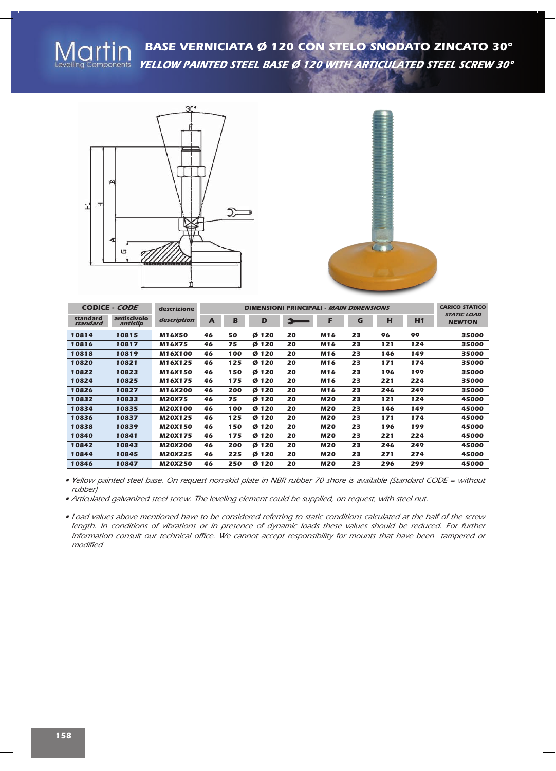



|                      | <b>CODICE - CODE</b>    | descrizione    |              |     | <b>CARICO STATICO</b> |    |            |    |     |     |                                     |
|----------------------|-------------------------|----------------|--------------|-----|-----------------------|----|------------|----|-----|-----|-------------------------------------|
| standard<br>standard | antiscivolo<br>antislip | description    | $\mathbf{A}$ | в   | D                     |    | F          | G  | н   | H1  | <b>STATIC LOAD</b><br><b>NEWTON</b> |
| 10814                | 10815                   | <b>M16X50</b>  | 46           | 50  | Ø 120                 | 20 | M16        | 23 | 96  | 99  | 35000                               |
| 10816                | 10817                   | M16X75         | 46           | 75  | Ø 120                 | 20 | M16        | 23 | 121 | 124 | 35000                               |
| 10818                | 10819                   | M16X100        | 46           | 100 | Ø 120                 | 20 | M16        | 23 | 146 | 149 | 35000                               |
| 10820                | 10821                   | M16X125        | 46           | 125 | Ø 120                 | 20 | M16        | 23 | 171 | 174 | 35000                               |
| 10822                | 10823                   | M16X150        | 46           | 150 | Ø 120                 | 20 | M16        | 23 | 196 | 199 | 35000                               |
| 10824                | 10825                   | M16X175        | 46           | 175 | Ø 120                 | 20 | M16        | 23 | 221 | 224 | 35000                               |
| 10826                | 10827                   | M16X200        | 46           | 200 | Ø 120                 | 20 | M16        | 23 | 246 | 249 | 35000                               |
| 10832                | 10833                   | <b>M20X75</b>  | 46           | 75  | Ø 120                 | 20 | <b>M20</b> | 23 | 121 | 124 | 45000                               |
| 10834                | 10835                   | <b>M20X100</b> | 46           | 100 | Ø 120                 | 20 | <b>M20</b> | 23 | 146 | 149 | 45000                               |
| 10836                | 10837                   | M20X125        | 46           | 125 | Ø 120                 | 20 | <b>M20</b> | 23 | 171 | 174 | 45000                               |
| 10838                | 10839                   | <b>M20X150</b> | 46           | 150 | Ø 120                 | 20 | <b>M20</b> | 23 | 196 | 199 | 45000                               |
| 10840                | 10841                   | M20X175        | 46           | 175 | Ø 120                 | 20 | <b>M20</b> | 23 | 221 | 224 | 45000                               |
| 10842                | 10843                   | M20X200        | 46           | 200 | Ø 120                 | 20 | <b>M20</b> | 23 | 246 | 249 | 45000                               |
| 10844                | 10845                   | M20X225        | 46           | 225 | Ø 120                 | 20 | <b>M20</b> | 23 | 271 | 274 | 45000                               |
| 10846                | 10847                   | <b>M20X250</b> | 46           | 250 | Ø<br>120              | 20 | <b>M20</b> | 23 | 296 | 299 | 45000                               |

■ Yellow painted steel base. On request non-skid plate in NBR rubber 70 shore is available (Standard CODE = without *rubber)*

*• Articulated galvanized steel screw. The leveling element could be supplied, on request, with steel nut.*

. Load values above mentioned have to be considered referring to static conditions calculated at the half of the screw length. In conditions of vibrations or in presence of dynamic loads these values should be reduced. For further *information consult our technical office. We cannot accept responsibility for mounts that have been tampered or modified*